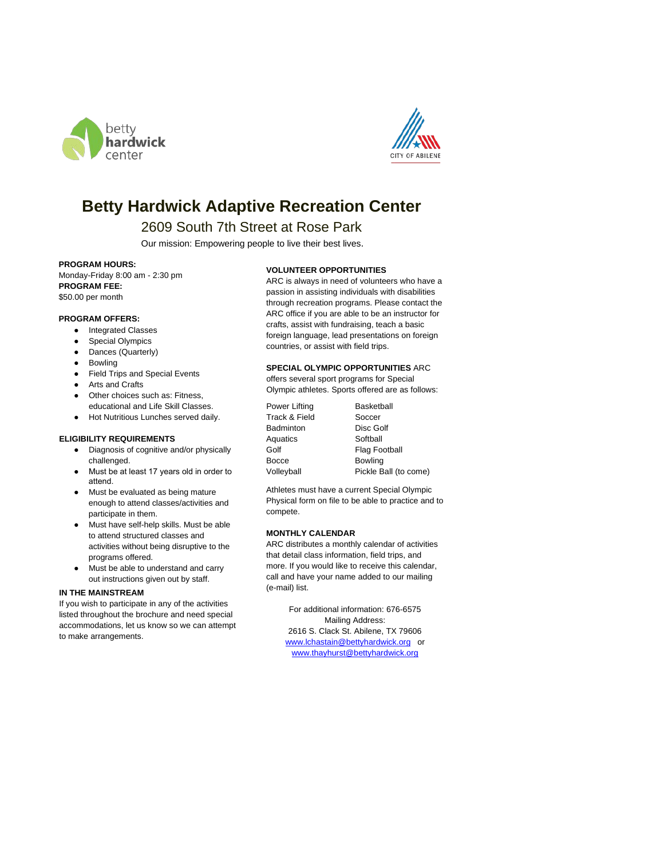



# **Betty Hardwick Adaptive Recreation Center**

## 2609 South 7th Street at Rose Park

Our mission: Empowering people to live their best lives.

#### **PROGRAM HOURS:**

Monday-Friday 8:00 am - 2:30 pm **PROGRAM FEE:** \$50.00 per month

#### **PROGRAM OFFERS:**

- Integrated Classes
- Special Olympics
- Dances (Quarterly)
- Bowling
- Field Trips and Special Events
- Arts and Crafts
- Other choices such as: Fitness, educational and Life Skill Classes.
- Hot Nutritious Lunches served daily.

#### **ELIGIBILITY REQUIREMENTS**

- Diagnosis of cognitive and/or physically challenged.
- Must be at least 17 years old in order to attend.
- Must be evaluated as being mature enough to attend classes/activities and participate in them.
- Must have self-help skills. Must be able to attend structured classes and activities without being disruptive to the programs offered.
- Must be able to understand and carry out instructions given out by staff.

#### **IN THE MAINSTREAM**

If you wish to participate in any of the activities listed throughout the brochure and need special accommodations, let us know so we can attempt to make arrangements.

#### **VOLUNTEER OPPORTUNITIES**

ARC is always in need of volunteers who have a passion in assisting individuals with disabilities through recreation programs. Please contact the ARC office if you are able to be an instructor for crafts, assist with fundraising, teach a basic foreign language, lead presentations on foreign countries, or assist with field trips.

#### **SPECIAL OLYMPIC OPPORTUNITIES** ARC

offers several sport programs for Special Olympic athletes. Sports offered are as follows:

Power Lifting **Basketball** Track & Field Soccer<br>
Badminton Disc Golf Badminton Aquatics Softball Golf Flag Football Bocce Bowling Volleyball Pickle Ball (to come)

Athletes must have a current Special Olympic Physical form on file to be able to practice and to compete.

### **MONTHLY CALENDAR**

ARC distributes a monthly calendar of activities that detail class information, field trips, and more. If you would like to receive this calendar, call and have your name added to our mailing (e-mail) list.

For additional information: 676-6575 Mailing Address: 2616 S. Clack St. Abilene, TX 79606 [www.lchastain@bettyhardwick.org](http://www.lchastain@bettyhardwick.org) or [www.thayhurst@bettyhardwick.org](http://www.thayhurst@bettyhardwick.org)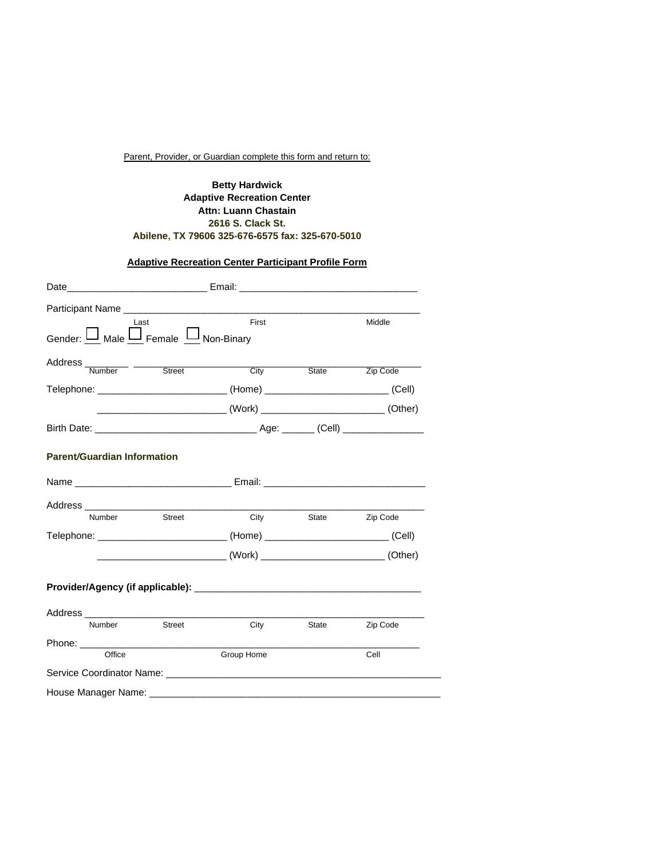## Parent, Provider, or Guardian complete this form and return to:

## **Betty Hardwick Adaptive Recreation Center Attn: Luann Chastain 2616 S. Clack St. Abilene, TX 79606 325-676-6575 fax: 325-670-5010**

## **Adaptive Recreation Center Participant Profile Form**

|                                              | Date___________________________________Email: __________________________________       |                     |          |
|----------------------------------------------|----------------------------------------------------------------------------------------|---------------------|----------|
|                                              |                                                                                        |                     |          |
| Last<br>Gender: U Male U Female U Non-Binary | First                                                                                  |                     | Middle   |
| Address Number - Street                      | City                                                                                   | State               | Zip Code |
|                                              | Telephone: ________________________________(Home) ______________________________(Cell) |                     |          |
|                                              |                                                                                        |                     |          |
|                                              |                                                                                        |                     |          |
| <b>Parent/Guardian Information</b>           |                                                                                        |                     |          |
|                                              | Name ___________________________________Email: _________________________________       |                     |          |
|                                              |                                                                                        |                     |          |
| Number<br>Street                             |                                                                                        | City State Zip Code |          |
|                                              | Telephone: _______________________________(Home) ______________________________(Cell)  |                     |          |
|                                              | ________________________________(Work) ________________________________(Other)         |                     |          |
|                                              |                                                                                        |                     |          |
|                                              |                                                                                        |                     |          |
| Street<br>Number                             | City                                                                                   | State               | Zip Code |
|                                              |                                                                                        |                     |          |
| Office                                       | Group Home                                                                             |                     | Cell     |
|                                              |                                                                                        |                     |          |
|                                              |                                                                                        |                     |          |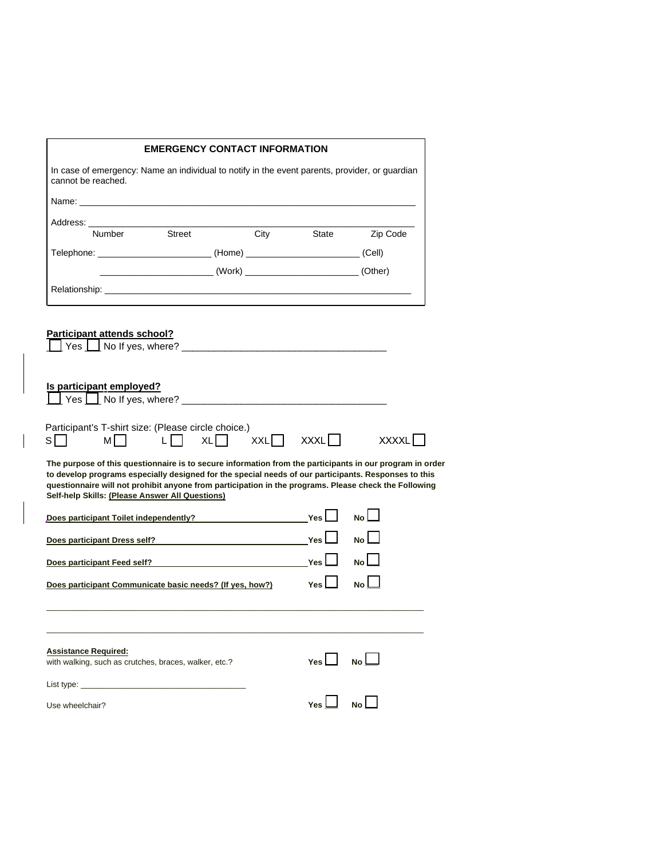|                                                                                                                                                                                                                                                                                                                                                                              | <b>EMERGENCY CONTACT INFORMATION</b>                                            |     |      |            |                |              |
|------------------------------------------------------------------------------------------------------------------------------------------------------------------------------------------------------------------------------------------------------------------------------------------------------------------------------------------------------------------------------|---------------------------------------------------------------------------------|-----|------|------------|----------------|--------------|
| In case of emergency: Name an individual to notify in the event parents, provider, or guardian<br>cannot be reached.                                                                                                                                                                                                                                                         |                                                                                 |     |      |            |                |              |
|                                                                                                                                                                                                                                                                                                                                                                              |                                                                                 |     |      |            |                |              |
| Address: Andreas Address Andrew March 1997                                                                                                                                                                                                                                                                                                                                   |                                                                                 |     |      |            |                |              |
| Number                                                                                                                                                                                                                                                                                                                                                                       | Street                                                                          |     | City | State      | Zip Code       |              |
| Telephone: ________________________________(Home) ______________________________(Cell)                                                                                                                                                                                                                                                                                       |                                                                                 |     |      |            |                |              |
|                                                                                                                                                                                                                                                                                                                                                                              | _________________________________(Work) ________________________________(Other) |     |      |            |                |              |
|                                                                                                                                                                                                                                                                                                                                                                              |                                                                                 |     |      |            |                |              |
| <b>Participant attends school?</b>                                                                                                                                                                                                                                                                                                                                           |                                                                                 |     |      |            |                |              |
| Is participant employed?                                                                                                                                                                                                                                                                                                                                                     |                                                                                 |     |      |            |                |              |
|                                                                                                                                                                                                                                                                                                                                                                              |                                                                                 |     |      |            |                |              |
| Participant's T-shirt size: (Please circle choice.)<br>s∣⊺<br>мI                                                                                                                                                                                                                                                                                                             | L                                                                               | XL□ | XXL□ | XXXL[      |                | <b>XXXXL</b> |
| The purpose of this questionnaire is to secure information from the participants in our program in order<br>to develop programs especially designed for the special needs of our participants. Responses to this<br>questionnaire will not prohibit anyone from participation in the programs. Please check the Following<br>Self-help Skills: (Please Answer All Questions) |                                                                                 |     |      |            |                |              |
|                                                                                                                                                                                                                                                                                                                                                                              |                                                                                 |     |      |            | N <sub>o</sub> |              |
|                                                                                                                                                                                                                                                                                                                                                                              |                                                                                 |     |      |            |                |              |
| Does participant Toilet independently?<br>Nes<br>Does participant Dress self? Does participant of the self of the self of the self of the self of the self of the self of the self of the self of the self of the self of the self of the self of the self of the self of the s                                                                                              |                                                                                 |     |      | Yes I      | No l           |              |
| Does participant Feed self? Does by a state of the self of the self of the self of the self of the self of the self of the self of the self of the self of the self of the self of the self of the self of the self of the sel                                                                                                                                               |                                                                                 |     |      | Yes        |                |              |
| Does participant Communicate basic needs? (If yes, how?)                                                                                                                                                                                                                                                                                                                     |                                                                                 |     |      | <b>Yes</b> | No l           |              |
|                                                                                                                                                                                                                                                                                                                                                                              |                                                                                 |     |      |            |                |              |
|                                                                                                                                                                                                                                                                                                                                                                              |                                                                                 |     |      | Yes $\Box$ | No L           |              |
| <b>Assistance Required:</b><br>with walking, such as crutches, braces, walker, etc.?<br>List type: __________________________________                                                                                                                                                                                                                                        |                                                                                 |     |      |            |                |              |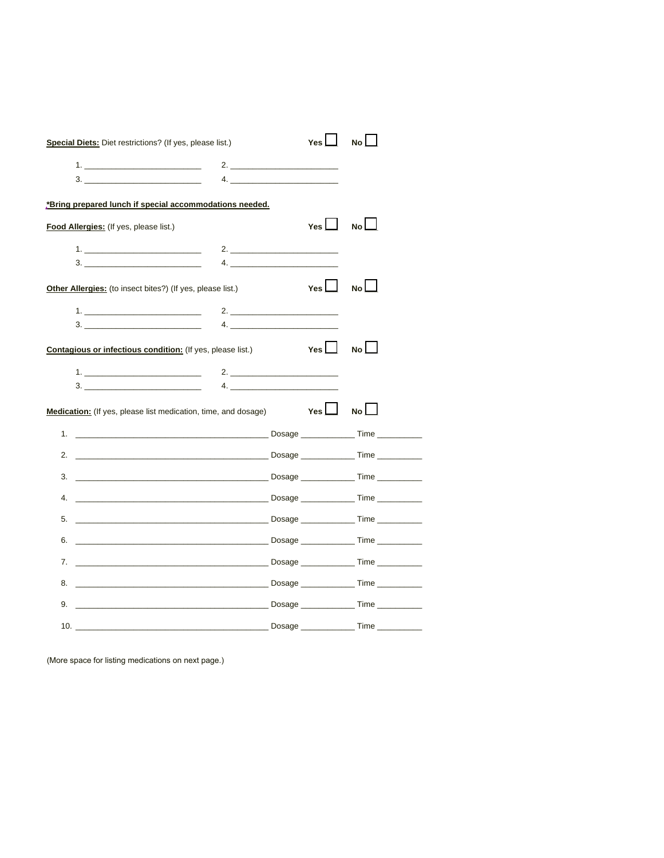| <b>Special Diets:</b> Diet restrictions? (If yes, please list.)       |    | Yes $\Box$ | No l        |
|-----------------------------------------------------------------------|----|------------|-------------|
| <u>1. ____________________________</u>                                |    |            |             |
| 3.                                                                    | 4. |            |             |
| *Bring prepared lunch if special accommodations needed.               |    |            |             |
| Food Allergies: (If yes, please list.)                                |    | Yes $\Box$ | No          |
| $1.$ $\blacksquare$                                                   | 2. |            |             |
|                                                                       |    |            |             |
| <b>Other Allergies:</b> (to insect bites?) (If yes, please list.)     |    | YesL       | No          |
|                                                                       |    |            |             |
|                                                                       |    |            |             |
| <b>Contagious or infectious condition:</b> (If yes, please list.)     |    | Yes $\Box$ | No          |
|                                                                       |    |            |             |
|                                                                       |    |            |             |
| <b>Medication:</b> (If yes, please list medication, time, and dosage) |    | Yes $\Box$ | $No$ $\Box$ |
|                                                                       |    |            |             |
|                                                                       |    |            |             |
|                                                                       |    |            |             |
|                                                                       |    |            |             |
| 5.                                                                    |    |            |             |
| 6.                                                                    |    |            |             |
|                                                                       |    |            |             |
|                                                                       |    |            |             |
|                                                                       |    |            |             |
|                                                                       |    |            |             |

(More space for listing medications on next page.)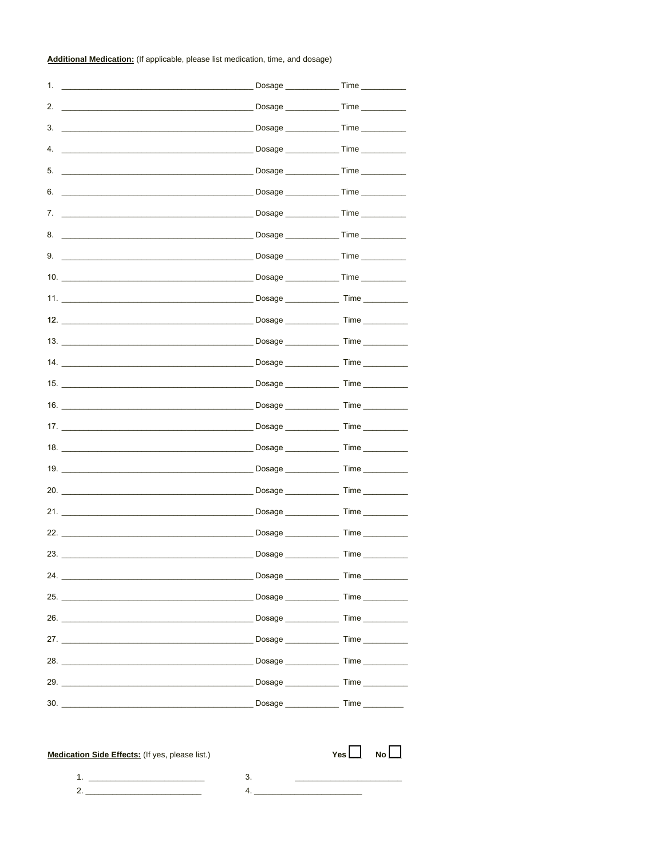Additional Medication: (If applicable, please list medication, time, and dosage)

| 1.<br><u> 1989 - Andrea Stadt Britain, amerikansk politiker (</u>                                                                                                                                                                                                                                                      |                      | Dosage _________________Time ____________                                                                           |
|------------------------------------------------------------------------------------------------------------------------------------------------------------------------------------------------------------------------------------------------------------------------------------------------------------------------|----------------------|---------------------------------------------------------------------------------------------------------------------|
| 2.                                                                                                                                                                                                                                                                                                                     |                      |                                                                                                                     |
| 3.<br><u> 1989 - Johann John Stein, markin fan it ferskearre fan it ferskearre fan it ferskearre fan it ferskearre fan i</u>                                                                                                                                                                                           |                      | Dosage _________________Time ____________                                                                           |
| 4.                                                                                                                                                                                                                                                                                                                     |                      |                                                                                                                     |
| 5.                                                                                                                                                                                                                                                                                                                     |                      |                                                                                                                     |
| 6.                                                                                                                                                                                                                                                                                                                     |                      |                                                                                                                     |
| 7.                                                                                                                                                                                                                                                                                                                     |                      |                                                                                                                     |
| 8.                                                                                                                                                                                                                                                                                                                     |                      |                                                                                                                     |
| 9.                                                                                                                                                                                                                                                                                                                     |                      |                                                                                                                     |
| 10. $\qquad \qquad$                                                                                                                                                                                                                                                                                                    |                      | Dosage ________________Time ____________                                                                            |
|                                                                                                                                                                                                                                                                                                                        |                      |                                                                                                                     |
| 12.                                                                                                                                                                                                                                                                                                                    |                      |                                                                                                                     |
| 13.                                                                                                                                                                                                                                                                                                                    | Dosage _____________ | Time                                                                                                                |
| 14.                                                                                                                                                                                                                                                                                                                    | Dosage ____________  | Time                                                                                                                |
| 15. $\frac{1}{2}$ $\frac{1}{2}$ $\frac{1}{2}$ $\frac{1}{2}$ $\frac{1}{2}$ $\frac{1}{2}$ $\frac{1}{2}$ $\frac{1}{2}$ $\frac{1}{2}$ $\frac{1}{2}$ $\frac{1}{2}$ $\frac{1}{2}$ $\frac{1}{2}$ $\frac{1}{2}$ $\frac{1}{2}$ $\frac{1}{2}$ $\frac{1}{2}$ $\frac{1}{2}$ $\frac{1}{2}$ $\frac{1}{2}$ $\frac{1}{2}$ $\frac{1}{2$ |                      |                                                                                                                     |
|                                                                                                                                                                                                                                                                                                                        |                      |                                                                                                                     |
|                                                                                                                                                                                                                                                                                                                        | Dosage               | Time                                                                                                                |
| 18.                                                                                                                                                                                                                                                                                                                    |                      |                                                                                                                     |
| 19.                                                                                                                                                                                                                                                                                                                    |                      |                                                                                                                     |
|                                                                                                                                                                                                                                                                                                                        |                      |                                                                                                                     |
| 21.                                                                                                                                                                                                                                                                                                                    | Dosage               | Time                                                                                                                |
| 22.                                                                                                                                                                                                                                                                                                                    |                      | Dosage Time                                                                                                         |
| 23.                                                                                                                                                                                                                                                                                                                    | Dosage ____________  | <b>Time</b>                                                                                                         |
|                                                                                                                                                                                                                                                                                                                        |                      |                                                                                                                     |
|                                                                                                                                                                                                                                                                                                                        |                      |                                                                                                                     |
|                                                                                                                                                                                                                                                                                                                        |                      |                                                                                                                     |
| 27. Contract of the contract of the contract of the Dosage Contract of Time                                                                                                                                                                                                                                            |                      |                                                                                                                     |
|                                                                                                                                                                                                                                                                                                                        |                      |                                                                                                                     |
|                                                                                                                                                                                                                                                                                                                        |                      |                                                                                                                     |
|                                                                                                                                                                                                                                                                                                                        |                      |                                                                                                                     |
|                                                                                                                                                                                                                                                                                                                        |                      |                                                                                                                     |
| Medication Side Effects: (If yes, please list.)                                                                                                                                                                                                                                                                        |                      | Yes $\Box$ No $\Box$                                                                                                |
| 2. $\sim$ 2.                                                                                                                                                                                                                                                                                                           | 3.<br>4.             | <u>and the control of the control of the control of the control of the control of the control of the control of</u> |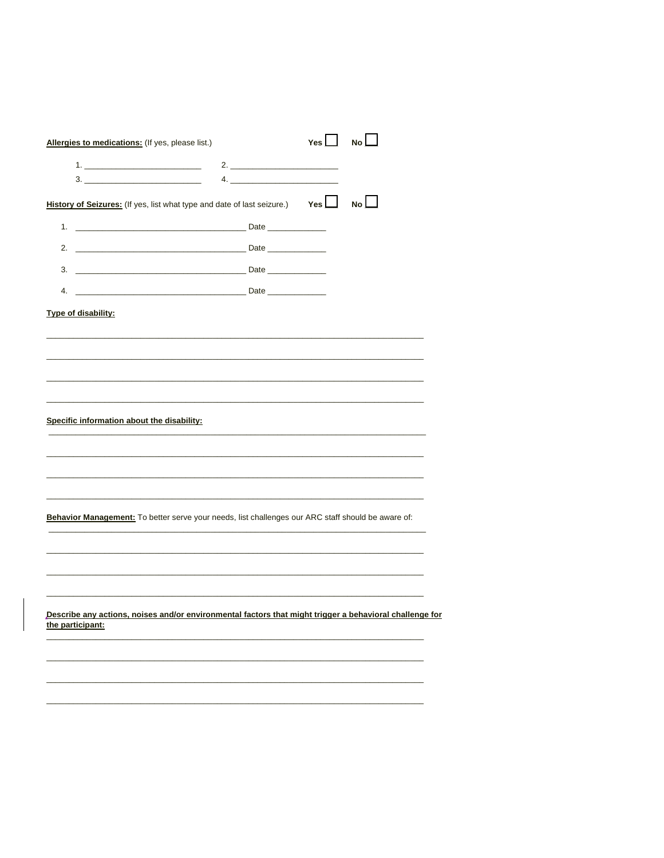| Allergies to medications: (If yes, please list.)                                                                            |    | Yes | No |
|-----------------------------------------------------------------------------------------------------------------------------|----|-----|----|
| <u>1. _______________________________</u>                                                                                   | 2. |     |    |
| $\begin{tabular}{c} 3. \end{tabular}$                                                                                       |    |     |    |
| History of Seizures: (If yes, list what type and date of last seizure.) Yes   No                                            |    |     |    |
|                                                                                                                             |    |     |    |
|                                                                                                                             |    |     |    |
|                                                                                                                             |    |     |    |
|                                                                                                                             |    |     |    |
| Type of disability:                                                                                                         |    |     |    |
|                                                                                                                             |    |     |    |
|                                                                                                                             |    |     |    |
|                                                                                                                             |    |     |    |
|                                                                                                                             |    |     |    |
| Specific information about the disability:                                                                                  |    |     |    |
|                                                                                                                             |    |     |    |
|                                                                                                                             |    |     |    |
|                                                                                                                             |    |     |    |
|                                                                                                                             |    |     |    |
| Behavior Management: To better serve your needs, list challenges our ARC staff should be aware of:                          |    |     |    |
|                                                                                                                             |    |     |    |
|                                                                                                                             |    |     |    |
| <u> 1989 - John Harry Harry Harry Harry Harry Harry Harry Harry Harry Harry Harry Harry Harry Harry Harry Harry H</u>       |    |     |    |
|                                                                                                                             |    |     |    |
| Describe any actions, noises and/or environmental factors that might trigger a behavioral challenge for<br>the participant: |    |     |    |
|                                                                                                                             |    |     |    |
|                                                                                                                             |    |     |    |
|                                                                                                                             |    |     |    |
|                                                                                                                             |    |     |    |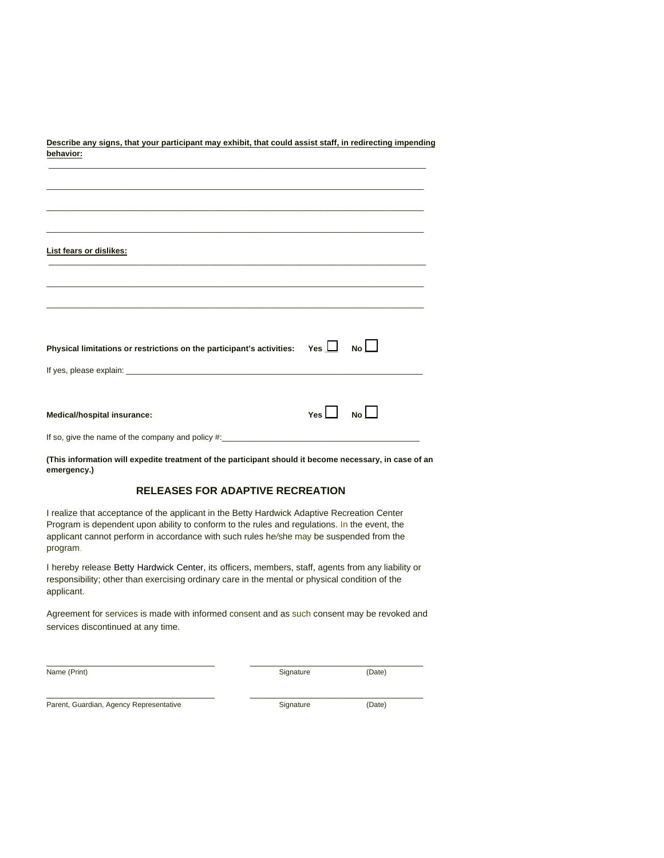| Describe any signs, that your participant may exhibit, that could assist staff, in redirecting impending<br>behavior: |       |                |
|-----------------------------------------------------------------------------------------------------------------------|-------|----------------|
|                                                                                                                       |       |                |
|                                                                                                                       |       |                |
|                                                                                                                       |       |                |
| <b>List fears or dislikes:</b>                                                                                        |       |                |
|                                                                                                                       |       |                |
| <u> 1989 - Johann Harry Harry Harry Harry Harry Harry Harry Harry Harry Harry Harry Harry Harry Harry Harry Harry</u> |       |                |
| Physical limitations or restrictions on the participant's activities: Yes $\Box$ No $\Box$                            |       |                |
|                                                                                                                       |       |                |
| Medical/hospital insurance:                                                                                           | Yes l | N <sub>O</sub> |
|                                                                                                                       |       |                |

**(This information will expedite treatment of the participant should it become necessary, in case of an emergency.)**

## **RELEASES FOR ADAPTIVE RECREATION**

I realize that acceptance of the applicant in the Betty Hardwick Adaptive Recreation Center Program is dependent upon ability to conform to the rules and regulations. In the event, the applicant cannot perform in accordance with such rules h*e/*she may be suspended from the program.

I hereby release Betty Hardwick Center, its officers, members, staff, agents from any liability or responsibility; other than exercising ordinary care in the mental or physical condition of the applicant.

Agreement for services is made with informed consent and as such consent may be revoked and services discontinued at any time.

\_\_\_\_\_\_\_\_\_\_\_\_\_\_\_\_\_\_\_\_\_\_\_\_\_\_\_\_\_\_\_\_\_\_ \_\_\_\_\_\_\_\_\_\_\_\_\_\_\_\_\_\_\_\_\_\_\_\_\_\_\_\_\_\_\_\_\_\_\_

\_\_\_\_\_\_\_\_\_\_\_\_\_\_\_\_\_\_\_\_\_\_\_\_\_\_\_\_\_\_\_\_\_\_ \_\_\_\_\_\_\_\_\_\_\_\_\_\_\_\_\_\_\_\_\_\_\_\_\_\_\_\_\_\_\_\_\_\_\_

Name (Print) (Date) Signature (Date)

Parent, Guardian, Agency Representative Signature Signature (Date)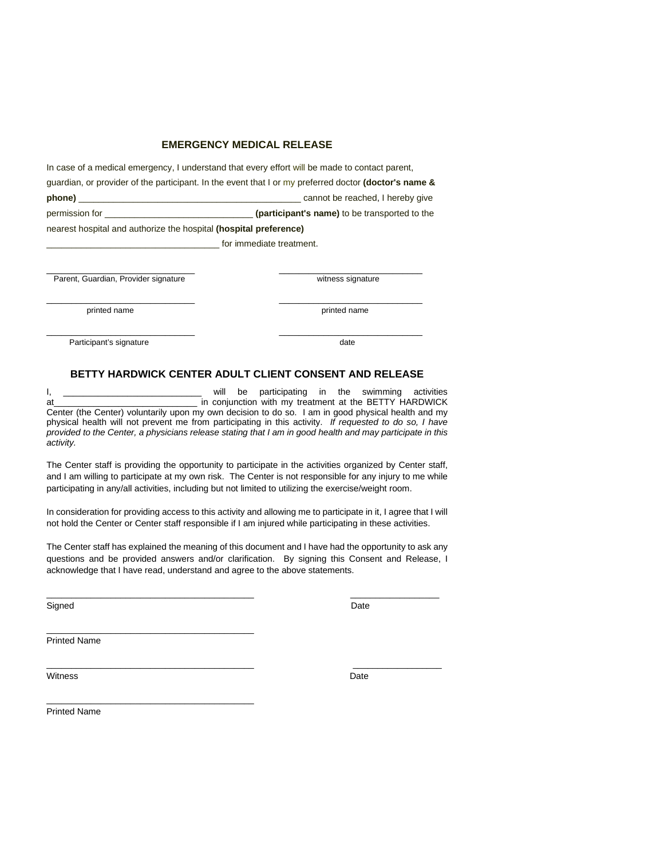## **EMERGENCY MEDICAL RELEASE**

In case of a medical emergency, I understand that every effort will be made to contact parent, guardian, or provider of the participant. In the event that I or my preferred doctor **(doctor's name & phone)** \_\_\_\_\_\_\_\_\_\_\_\_\_\_\_\_\_\_\_\_\_\_\_\_\_\_\_\_\_\_\_\_\_\_\_\_\_\_\_\_\_\_\_\_\_ cannot be reached, I hereby give permission for \_\_\_\_\_\_\_\_\_\_\_\_\_\_\_\_\_\_\_\_\_\_\_\_\_\_\_\_\_\_ **(participant's name)** to be transported to the nearest hospital and authorize the hospital **(hospital preference)** 

\_\_\_\_\_\_\_\_\_\_\_\_\_\_\_\_\_\_\_\_\_\_\_\_\_\_\_\_\_\_ \_\_\_\_\_\_\_\_\_\_\_\_\_\_\_\_\_\_\_\_\_\_\_\_\_\_\_\_\_

\_\_\_\_\_\_\_\_\_\_\_\_\_\_\_\_\_\_\_\_\_\_\_\_\_\_\_\_\_\_ \_\_\_\_\_\_\_\_\_\_\_\_\_\_\_\_\_\_\_\_\_\_\_\_\_\_\_\_\_

\_\_\_\_\_\_\_\_\_\_\_\_\_\_\_\_\_\_\_\_\_\_\_\_\_\_\_\_\_\_\_\_\_\_\_ for immediate treatment.

Parent, Guardian, Provider signature **Example 2018** Witness signature

\_\_\_\_\_\_\_\_\_\_\_\_\_\_\_\_\_\_\_\_\_\_\_\_\_\_\_\_\_\_ \_\_\_\_\_\_\_\_\_\_\_\_\_\_\_\_\_\_\_\_\_\_\_\_\_\_\_\_\_ printed name printed name

Participant's signature date date date

#### **BETTY HARDWICK CENTER ADULT CLIENT CONSENT AND RELEASE**

I, **will be participating in the swimming activities** at\_\_\_\_\_\_\_\_\_\_\_\_\_\_\_\_\_\_\_\_\_\_\_\_\_\_\_\_\_ in conjunction with my treatment at the BETTY HARDWICK Center (the Center) voluntarily upon my own decision to do so. I am in good physical health and my physical health will not prevent me from participating in this activity. *If requested to do so, I have provided to the Center, a physicians release stating that I am in good health and may participate in this activity.* 

The Center staff is providing the opportunity to participate in the activities organized by Center staff, and I am willing to participate at my own risk. The Center is not responsible for any injury to me while participating in any/all activities, including but not limited to utilizing the exercise/weight room.

In consideration for providing access to this activity and allowing me to participate in it, I agree that I will not hold the Center or Center staff responsible if I am injured while participating in these activities.

The Center staff has explained the meaning of this document and I have had the opportunity to ask any questions and be provided answers and/or clarification. By signing this Consent and Release, I acknowledge that I have read, understand and agree to the above statements.

 $\_$  , and the set of the set of the set of the set of the set of the set of the set of the set of the set of the set of the set of the set of the set of the set of the set of the set of the set of the set of the set of th

\_\_\_\_\_\_\_\_\_\_\_\_\_\_\_\_\_\_\_\_\_\_\_\_\_\_\_\_\_\_\_\_\_\_\_\_\_\_\_\_\_\_ \_\_\_\_\_\_\_\_\_\_\_\_\_\_\_\_\_\_

Signed Date **Date of the Contract of Contract Contract of Contract Oriental Date** 

Printed Name

\_\_\_\_\_\_\_\_\_\_\_\_\_\_\_\_\_\_\_\_\_\_\_\_\_\_\_\_\_\_\_\_\_\_\_\_\_\_\_\_\_\_

\_\_\_\_\_\_\_\_\_\_\_\_\_\_\_\_\_\_\_\_\_\_\_\_\_\_\_\_\_\_\_\_\_\_\_\_\_\_\_\_\_\_

Witness **Date** 

Printed Name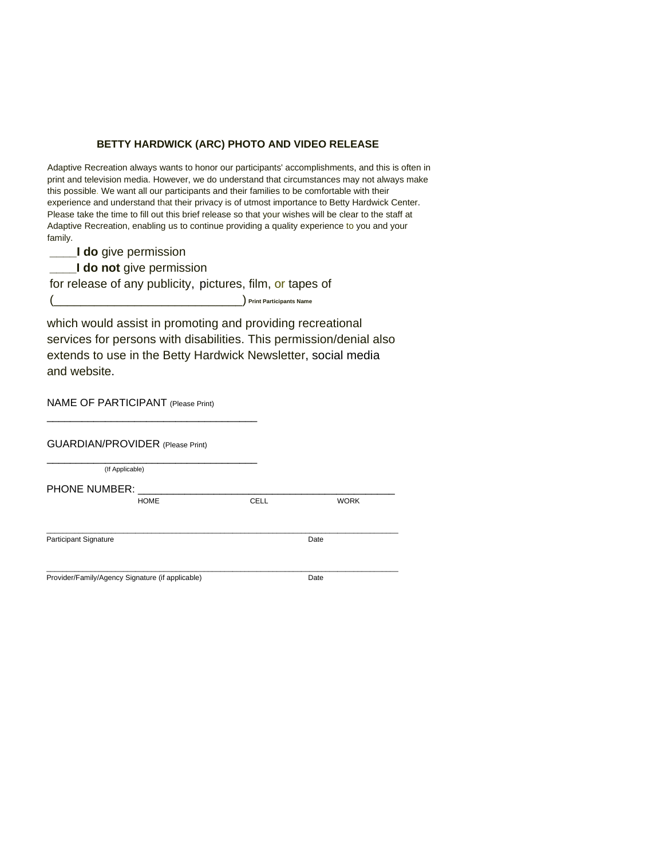## **BETTY HARDWICK (ARC) PHOTO AND VIDEO RELEASE**

Adaptive Recreation always wants to honor our participants' accomplishments, and this is often in print and television media. However, we do understand that circumstances may not always make this possible. We want all our participants and their families to be comfortable with their experience and understand that their privacy is of utmost importance to Betty Hardwick Center. Please take the time to fill out this brief release so that your wishes will be clear to the staff at Adaptive Recreation, enabling us to continue providing a quality experience to you and your family.

**\_\_\_\_I do** give permission

**\_\_\_\_I do not** give permission

for release of any publicity, pictures, film, or tapes of

(\_\_\_\_\_\_\_\_\_\_\_\_\_\_\_\_\_\_\_\_\_\_\_\_\_\_\_\_) **Print Participants Name**

which would assist in promoting and providing recreational services for persons with disabilities. This permission/denial also extends to use in the Betty Hardwick Newsletter, social media and website.

NAME OF PARTICIPANT (Please Print)

\_\_\_\_\_\_\_\_\_\_\_\_\_\_\_\_\_\_\_\_\_\_\_\_\_\_\_\_\_\_\_\_\_\_\_\_

| <b>GUARDIAN/PROVIDER (Please Print)</b>          |             |             |
|--------------------------------------------------|-------------|-------------|
| (If Applicable)                                  |             |             |
| <b>PHONE NUMBER:</b>                             |             |             |
| <b>HOME</b>                                      | <b>CELL</b> | <b>WORK</b> |
| <b>Participant Signature</b>                     |             | Date        |
| Provider/Family/Agency Signature (if applicable) |             | Date        |